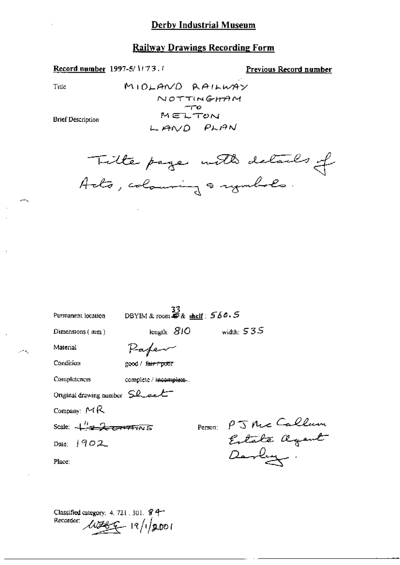Record number 1997-5/1173.1

Previous Record number

Title

 $\rightarrow$ 

 $\mathcal{F}^{\pm}$  ,

**Brief Description** 

Tille page with details of

| Permanent location                                    | DBYIM & room $\frac{33}{47}$ & shelf: 560.5            |         |              |                             |
|-------------------------------------------------------|--------------------------------------------------------|---------|--------------|-----------------------------|
| $Dimensions$ ( $mm$ )                                 | $\overline{\text{length}}$ $\overline{\mathcal{S}}$ /O |         | width: $535$ |                             |
| Material                                              | Paper                                                  |         |              |                             |
| Condition                                             | good / f <del>air / poo</del> r                        |         |              |                             |
| Completeness                                          | complete / incomplete.                                 |         |              |                             |
| Original drawing number $SL$ eel                      |                                                        |         |              |                             |
| Company: $MR$                                         |                                                        |         |              |                             |
| Scale: $\frac{\mu}{\sqrt{2}}$ or $\frac{1}{\sqrt{2}}$ |                                                        | Person: |              | PJ McCallum<br>Extate agent |
| Date: $1902$                                          |                                                        |         |              |                             |
| Place:                                                |                                                        |         | Darly .      |                             |
|                                                       |                                                        |         |              |                             |

Classified category: 4, 721, 301, § 4-Recorder: WEST 19/1/2001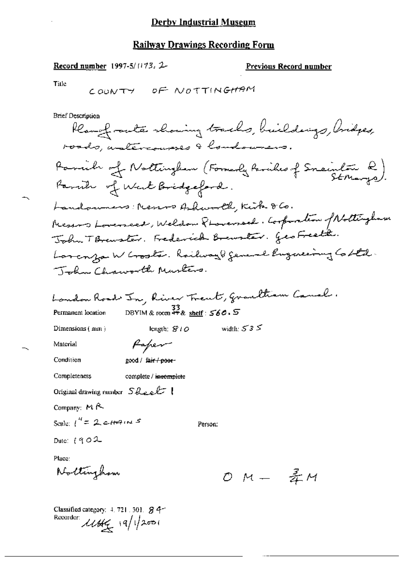## **Railway Drawings Recording Form**

## Record number 1997-5/1173, 2-

### **Previous Record number**

Title

**Brief Description** 

| Rear of ranks showing tracks, buildings, bridges,                                         |
|-------------------------------------------------------------------------------------------|
| roads, untercourses & londowners.                                                         |
| Parcile of Nottingham (Formerly Parciles of Snainton Q).<br>Records of the F.R. idealerly |
| Paruh of West Bridgeford.                                                                 |
| Handouners: News Ashworth, Kirk 860.                                                      |
| Reserve Lovenece, Weldon Phonemael. Corporation of Nottingham                             |
| John T Brewster. Frederick Brewster. GeoFreeth.                                           |
| Larconza W Gooster. Railway & general Engineering Co Ltd.                                 |
| John Chaworth Musters.                                                                    |
| bandon Road In, River Trent, Grantham Canal.                                              |
| DBYIM & room $\frac{34}{36}$ & shelf: $560.5$<br>Permanent location                       |
| width: $535$<br>Dimensions (mm)<br>length: $810$                                          |
| Material<br>Faper                                                                         |
| Condition<br>good / fa <del>ir / poor</del> -                                             |
| Completeness<br>complete / incomplete                                                     |
| Original drawing number $S$ health $\vert$                                                |
| Company: $M \sim$                                                                         |
| Scale: $1'' = 2c\pi$ 4.45<br>Person:                                                      |
| Date: $[902]$                                                                             |
| Place:                                                                                    |
| Nottinghow<br>$OM #M$                                                                     |
|                                                                                           |
| Classified category: $4.721.301.$ $84-$<br>Recorder:<br>$1144 - 19/12001$                 |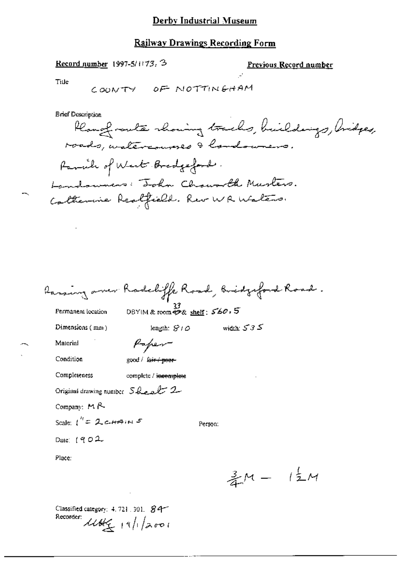### Railway Drawings Recording Form

Record number 1997-5/1173. 3

Previous Record number

Title

**Brief Description** 

| Planofrants rhowing tracks, buildings, bridges, |
|-------------------------------------------------|
| roads, watercourses & landowners.               |
| Panile of West Bradgeford.                      |
| Landowners: Tohn Chawarth Muslers.              |
| Catherine Realfield. Rev WR Waters.             |

|  |  | faring over Radeliffe Road, Bridgeford Road. |
|--|--|----------------------------------------------|
|--|--|----------------------------------------------|

Permanent location

33<br>DBYIM & room \$28 shelf: 560, 5

Dimensions (mm)

length:  $S/O$  width:  $S3S$ 

Person:

Material

Condition

Paper good / fair / poor-

Completeness

complete / incomplete

Original drawing number Sheet 2

Company: MR

Scale:  $1^{h}$  = 2 channes

Date:  $(902$ 

Place:

 $\frac{3}{4}M - 1\frac{1}{2}M$ 

Classified category: 4, 721, 301, 84-Recorder: 11Afg 19/1/2001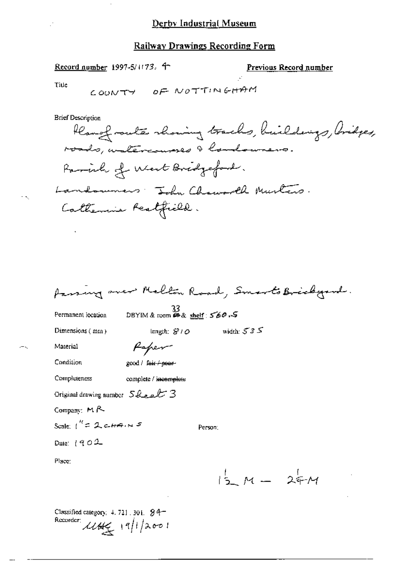Record number 1997-5/1173. 4

Previous Record number

Title

**Brief Description** 

J.

fassing over Melton Road, Smarts Brickgard.

Permanent location

 $\frac{33}{2560.5}$ <br>DBYIM & room  $\omega$  & shelf: 560.5

Person:

Dimensions (mm)

width:  $535$ length:  $S10$ Paper

Material

Condition

good / fair / poor-

Completeness complete / incomplete

Original drawing number 5 healt 3

Company: MR

Scale:  $i^{\prime\prime}=2$  cannot  $s$ 

Date: 1902

Place:

 $1/2 M - 24 M$ 

Classified category:  $4.721.301.94-$ Recorder  $11/2001$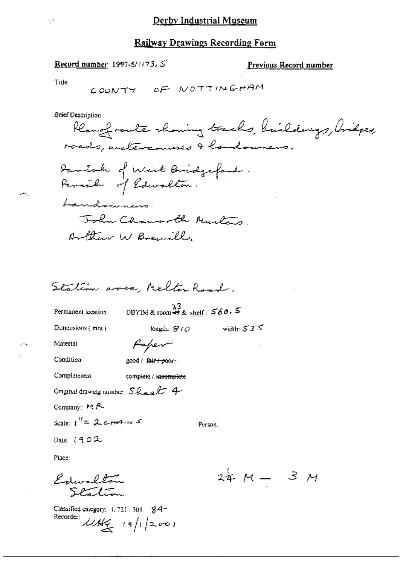#### **Railway Drawings Recording Form**

#### Record number 1997-5/1173. 5

Previous Record number

Title

**Brief Description** 

Rear of route showing tracks, buildings, bridges, roads, unatercourses & londowners. Panish of West Bridgeford. Parash of Edwardton. Landowners. John Chausoll Murles Arthur W Brewill

Station area Melton Road

Permanent location

DBYIM & room  $\stackrel{33}{\leftrightarrow}$  & shelf:  $560.5$ 

length:  $S/O$ 

Dimensions  $(mn)$ 

Paper

Material Condition

good / fair / poor-

Completeness complete / ineomplete

Original drawing number  $S$  hear  $t$  4

Company: MR

Scale:  $1'' = 2c$  main 5

Person:

width:  $535$ 

Date:  $(902$ 

Place:

Edwardton Scalin

Classified category: 4, 721, 501, \$4+ Recorder:  $11666 = 19/12001$ 

 $24 M - 3 M$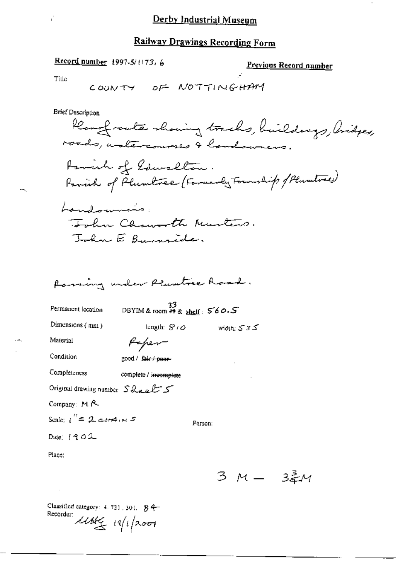## **Railway Drawings Recording Form**

### Record number 1997-5/1173, 6

Previous Record number

Tille

**Brief Description** 

Plangfrowth showing tracks, buildings, Aridges, roads, untercourses & landowners. Panich of Edwardton. Parish of Plumbree (Farmerly Fournhip of Plumbree) Landowners: John Chausette Murtins. John E Burnside.

Passing under Plumtree Road.

Permanent location

DBYIM & room  $\stackrel{33}{48}$  shelf:  $560.5$ 

Dimensions (mm)

lungth:  $S1O$ width:  $535$ 

Person:

Material

Condition

good / fair / poor-

Paper

Completeness complete / incomplete

Original drawing number  $S_{\text{break}}$ 

Company: MR

Scale:  $i'' = 2$  city  $i$ ,  $i$  5

Date:  $1902$ 

Place:

3 M - 32M

Classified category:  $4.721, 301, 84$ Recorder:  $\mathcal{U}\mathcal{U}\left(\frac{1}{2}\right)$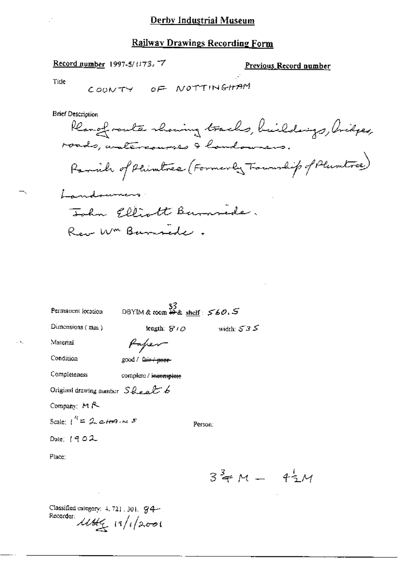### **Railway Drawings Recording Form**

#### Record number 1997-5/1173.77

#### Previous Record number

Title

# COONTY OF NOTTINGHAM

**Brief Description** 

Renofrante showing tracks, buildings, bridges, roads, watercourses & handowners. Parish of Phimbres (Formerly Foundip of Plumtres) Landoumers John Elliott Bunnede.

Rev Wm Burnsede.

| Permanent location                           | 33<br>DBYIM & toom $\frac{33}{49}$ & shelf: $560.5$ |              |
|----------------------------------------------|-----------------------------------------------------|--------------|
| Dimensions $(mn)$                            | length: $810$                                       | width: $535$ |
| Material                                     | Paper                                               |              |
| Condition                                    | good / fa <del>ir / poor-</del>                     |              |
| Completeness                                 | complete / incomplete                               |              |
| Original drawing number $S_{\text{break}}$ 6 |                                                     |              |
| Company: MR                                  |                                                     |              |
| Scale: $1^{\prime\prime} = 2$ ctop in 5      |                                                     | Person:      |
| Date: $(902$                                 |                                                     |              |
| Place:                                       |                                                     |              |
|                                              |                                                     | $34 M -$     |

Classified category: 4, 721, 301, 94-Recorder: 11Hg 19/1/2001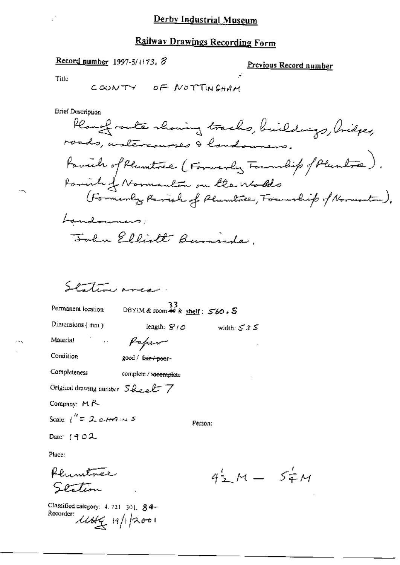### Railway Drawings Recording Form

#### Record number 1997-5/1173,  $\mathcal{S}$

#### <u>Previous Record number</u>

Title

**Brief Description** 

Rearefronte showing tracks, buildings, Cridges, roads, untercourses & landowners. favoide of Plumitres (Formerly Foundity of Plumbre). Parish of Normantin on the wholes (Formerly Revise of Plumbre, Fountliep of Normanton). Landouners: John Elliott Burnsides.

width:  $535$ 

Station and

Permanent location

 $33$ <br>DBYIM& room # & shelf:  $560.5$ 

Dimensions  $(mn)$ 

length:  $S/O$ 

Material

Paper

Condition

good / fair-poor-

Completeness complete / incomplete

Original drawing number  $S\⊂>ek$ 

Company: MR

Scale:  $1^{\prime\prime}$  = 2 cHM in 5

Person:

Date:  $(902$ 

Place:

Rhimtner Station

Classified category: 4, 721-301, 84-Recorder:  $\frac{\mu}{\mu}$  19/1/2001

 $4\frac{1}{2}M - 5\frac{1}{4}M$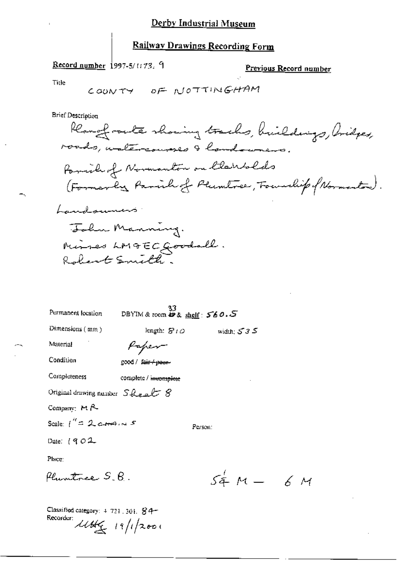## Record number 1997-5/1173. 9

Previous Record number

 $6M$ 

Title

۳.

**Brief Description** 

 $\mathbf{r}$ 

| Permanent location                  | 33<br>DBYIM & room $\mathbf{\ddot{\theta}}$ & shelf: $560.5$ |                    |
|-------------------------------------|--------------------------------------------------------------|--------------------|
| Dimensions (mm)                     | length: $S$ $\iota$ $\varphi$                                | width: $535$       |
| Material                            | Kaper                                                        |                    |
| Condition                           | good / fair-t-peut-                                          |                    |
| Completeness                        | complete / incomplete                                        |                    |
| Original drawing number $S\&subs B$ |                                                              |                    |
| Company: $M R$                      |                                                              |                    |
| Scale: $1'' = 2$ correlations 5     |                                                              | Person:            |
| Date: $(902$                        |                                                              |                    |
| Place:                              |                                                              |                    |
| flumtree S.B.                       |                                                              | $54^{\circ}$ M $-$ |
|                                     |                                                              |                    |

Classified category: 4-721, 301, 84-Recorder: 1144 19/1/2001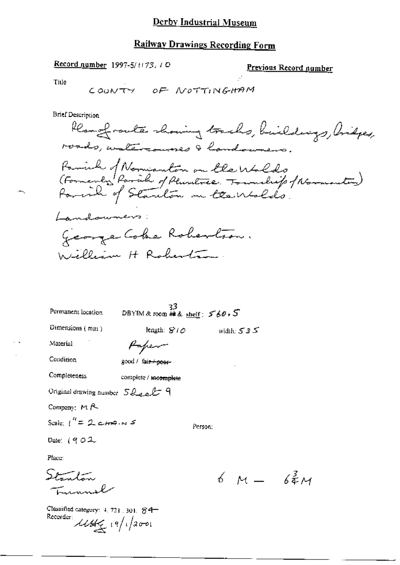## **Railway Drawings Recording Form**

#### Record number 1997-5/1173, 1 O

Previous Record number

Title

**Brief Description** 

Rear of route showing tracks, buildings, bridges, roads, watercourses & landowners. Parish of Normanton on the Walds<br>(Formerly Parish of Plumetree. Township f Normanton)<br>Parish of Stanlon on the Wolds. Landowners: George Coke Robertion. William H Roberta.

| Permanent location                                        | 33<br>DBYIM & room #2 & shelf: $560.5$ |              |
|-----------------------------------------------------------|----------------------------------------|--------------|
| Dimensions (mm)                                           | length: $S/O$                          | width: $535$ |
| Material                                                  | Paper                                  |              |
| Condition                                                 | good / fa <del>ir / poor-</del>        |              |
| Completeness                                              | complete / meomplete                   |              |
| Original drawing number $SQ_{\text{total}}$               |                                        |              |
| Company: MR                                               |                                        |              |
| Scale: $1^{\prime\prime}$ = 2 c $\epsilon$ ma, $\kappa$ 5 | Person:                                |              |
|                                                           |                                        |              |

Date:  $(902$ 

Place:

Stanton Lummel

Classified category: 4, 721, 301, 84-Recorder:  $\mathcal{U}\mathcal{U}\left(\frac{1}{2}\right)$ 

 $6M - 64M$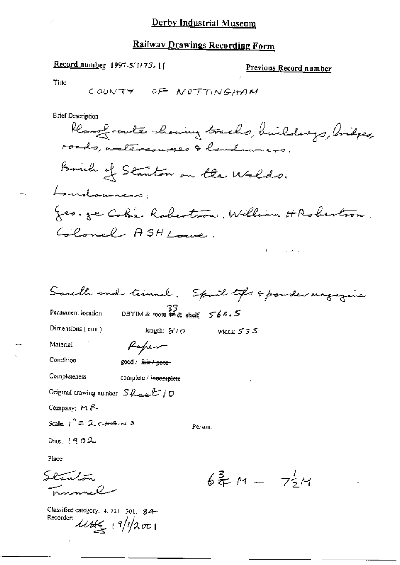## Railway Drawings Recording Form

### Record number 1997-5/1173. [1]

Classified category, 4, 721, 301, 84-

Recorder use 19/1/2001

#### Previous Record number

Title

South and turnel. Spoil tops & powder magazine DBYIM & room # & shelf:  $560.5$ Permanent location Dimensions (mm) width:  $535$ length;  $810$ Paper-Material Condition good / fair / peer-Completeness complete / incomplete Original drawing number  $S$ heet 10 Company: MR Scale:  $i^{\prime\prime}=2$  cannot Person: Date: [902 Place:  $644 - 754$ Sl<del>anton</del> nnnel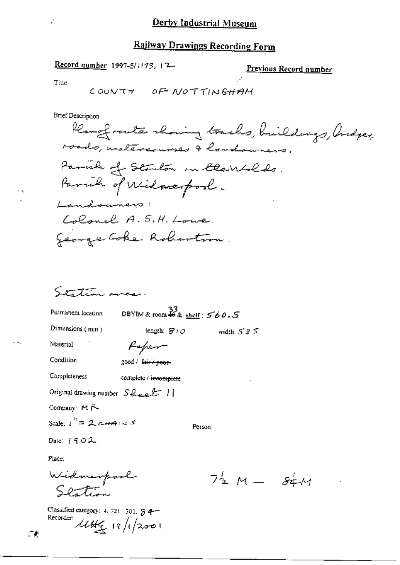k.

### Record number 1997-5/1173, 12-

#### Previous Record number

Title

н.

f,

**Brief Description** 

Station area.

Permanent location

DBYIM & room  $\frac{33}{48}$  a shelf:  $560.5$ 

Dimensions (mm)

width:  $535$ length:  $S'$  to

Material

Condition

Completeness

complete / incomplete

good / fair / peer-

Paper

Original drawing number  $SQ_{\text{cell}}$  /

Company: MR

Scale:  $i'' = 2$  cannot

Person:

Date:  $1902$ 

Place:

У.

Widmerpool<br>Slation

Classified category: 4, 721, 301, § 4-Recorder:  $\mathcal{U}\mathcal{U}\left(\frac{1}{2}\right)$  19/1/2001

 $74 M - 84 M$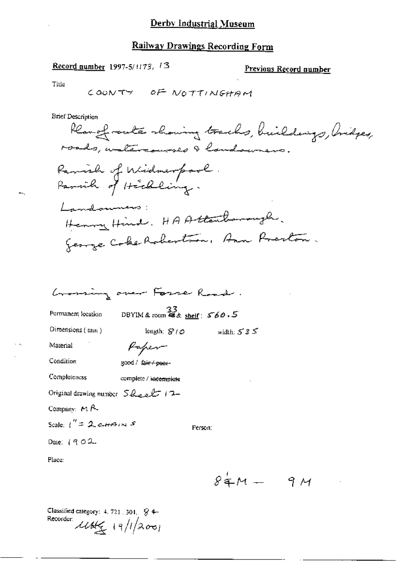## Record number 1997-5/1173, 13

## Previous Record number

 $\overline{a}$ 

Title

**Brief Description** 

|                                                | Grossing over Fosse Road.                     |                          |
|------------------------------------------------|-----------------------------------------------|--------------------------|
| Permanent location                             | DBYIM & room $\frac{33}{48}$ & shelf: $560.5$ |                          |
| Dimensions (mm)                                | length: $S/O$                                 | width: $535$             |
| Material                                       | Kapen                                         |                          |
| Condition                                      | good / fai <del>r / poor-</del>               |                          |
| Completeness                                   | complete / i <del>ncomplete</del>             |                          |
| Original drawing number $S_{\text{break}}$ (2- |                                               |                          |
| Company: $M \uparrow \sim$                     |                                               |                          |
| Scale: $1'' = 2$ cannot                        |                                               | Person:                  |
| Date: $1902$                                   |                                               |                          |
| Place:                                         |                                               |                          |
|                                                |                                               | $\cdot$ <b>x</b> $\cdot$ |

 $84M - 9M$ 

Classified category: 4, 721, 501,  $\sqrt{8}$  4-Recorder  $11/200$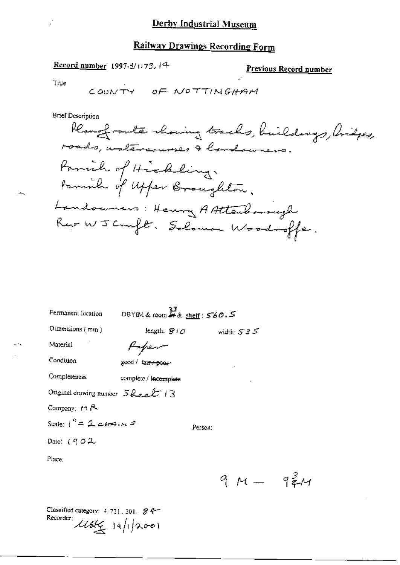### Record number 1997-5/1173, 14

Previous Record number

 $94/1$ 

Title

**Brief Description** 

Rearefronte showing tracks, buildings, bridges, roads, watercourses & londowners. Parish of Hickling. tominh of upper Broughton. Landonners: Henry AAttenborough Rue WJ Cruft. Solomon Woodroffe.

| Permanent location                     | DBYIM & room $\overset{33}{\ast}$ & shelf : 560.5 |         |              |
|----------------------------------------|---------------------------------------------------|---------|--------------|
| Dimensions $(mn)$                      | length: $S^2$ / $O$                               |         | width: $535$ |
| Material                               | Hapen                                             |         |              |
| Condition                              | good / fai <del>r / poer</del> -                  |         |              |
| Completeness                           | complete / incomplete                             |         |              |
| Original drawing number $SL_{2n}L$   3 |                                                   |         |              |
| Company: $H R$                         |                                                   |         |              |
| Scale: $t'' = 2$ cross $s$             |                                                   | Person: |              |
| Date: $(902)$                          |                                                   |         |              |
| Place:                                 |                                                   |         |              |
|                                        |                                                   |         |              |

Classified category: 4, 721, 301. 8 4-Recorder:  $\mathcal{U}\mathcal{B}\mathcal{L}_{\mathcal{I}}$  19/1/2001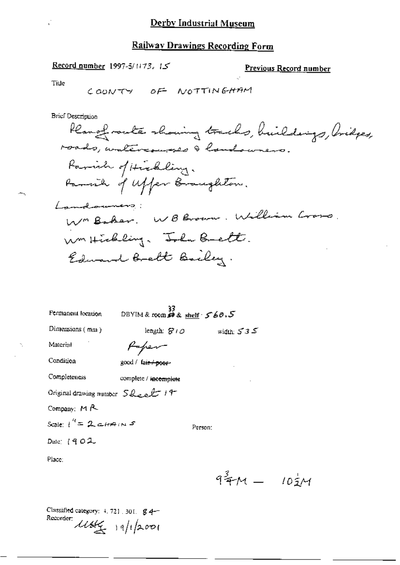Ú,

## Record number 1997-5/1173, 15

## Previous Record number

Title

**Brief Description** 

| Permanent location                                | 33<br>DBYIM & room # & shelf · 5 60.5 |              |
|---------------------------------------------------|---------------------------------------|--------------|
| Dimensions $(mn)$                                 | length: $S^{\prime}$ O                | width: $535$ |
| Material                                          | Paper-                                |              |
| Condition                                         | good / fa <del>ir / poer</del> -      |              |
| Completeness                                      | complete / incomplete                 |              |
| Original drawing number $S_{\text{Roch}} f$ / $f$ |                                       |              |
| Company: $M$ $\sim$                               |                                       |              |
| Scale: $t'' = 2$ ctrains                          |                                       | Person:      |
| Date: $(902$                                      |                                       |              |
| Place:                                            |                                       |              |
|                                                   |                                       | ×2           |

 $9^{\frac{3}{4}}M - 10^{\frac{1}{2}}M$ 

Classified category: 4, 721, 301, 84-Recorder:  $19/12001$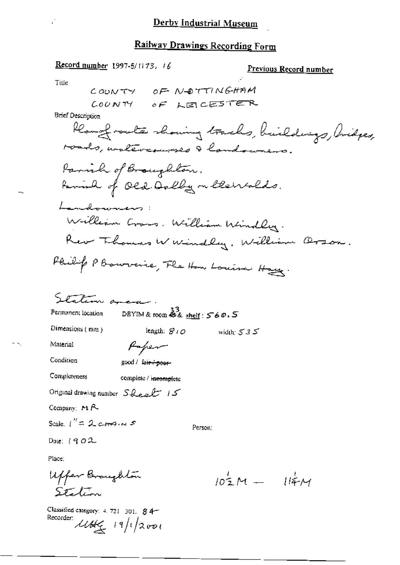Record number 1997-5/1173, 16 Previous Record number Title COUNTY OF NOTTINGHAM COUNTY OF LEIGESTER **Brief Description** Rough route showing tracks, buildings, bridges, roads, untercourses & landowners. Parish of Broughton. Family of Old Dolly on theirslds. Landonniers: William Cross, William Windley. Rev Thomas W windlay, William Orson. Philip P Bourverie, The How Louisa Hay. Station ancor. DBYIM & room 33 shelf : 560.5 Permanent location Dimensions (mm) length:  $S10$ width:  $535$ Paper Material Condition good / fair + peer-Completeness complete / incomplete Original drawing number  $SQ_{ex}\& H$ Company:  $M \uparrow \sim$ Scale,  $i'' = 2$  correlations Person. Date:  $1902$ Place: Uffer Broughton  $105M - 114M$ Station

Classified category:  $4.721 - 301$ ,  $84$ Recorder:  $11/2001$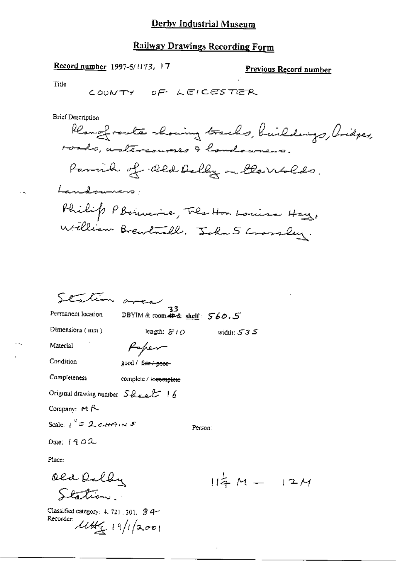## **Railway Drawings Recording Form**

Record number 1997-5/1173, 17

Previous Record number

Title

COUNTY OF LEICESTER

**Brief Description** 

Rear of route showing tracks, buildings, bridges, roads, untercourses I handowners. Parish of Old Dolly on the Wolds. Landowners Philip P Boincine, The Hor Louisa Hay, William Brewtwall, John S Crossley.

ك 3 تا width:

Station area

DBYIM & room # & shelf: 560.5

length:  $S1O$ 

Dimensions (mm)

Permanent location

Material

Condition

good / fair + peer-

Paper

Completeness

complete / incomplete

Original drawing number  $S_{\text{break}}$  | 6

Company:  $M$   $R$ 

Scale:  $1^{4}$  = 2 ctrains

Person:

Date: 1902

Place:

Old Dally Station

Classified category:  $4.721.301.94$ Recorder: 11644 19/1/2001

 $114M - 12M$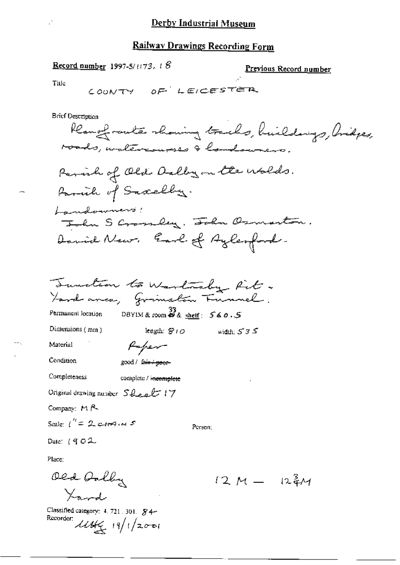### **Railway Drawings Recording Form**

**Record number 1997-5/1173, 18** 

Previous Record number

Title

**Brief Description** 

Remofrants showing tracks, huildings, Aridges, roads, watercourses & londowners. Parish of Old Delby on the wolds. Family of Sacrelly. Landowners! John S Crossley, John Osmarton. Daniel News. Earl of Aylenford. Sunction to Warlacky Rit. Ford anca, Grimston Funnel. DBYIM & room  $\overset{33}{\leftrightarrow}$  & shelf:  $\overset{56}{\circ}$  &  $\overset{0}{\circ}$ .5 Permanent location Dimensions  $(mm)$ leagth:  $S1O$ width:  $535$ Paper Material Condition good / fair / peor-Completeness complete / incomplete Original drawing number Sleet 17

Company: MR

Scale:  $1'' = 2$  city in 5

Person;

Date:  $(902$ 

Place:

Old Gally  $\frac{1}{2}$ 

Classified category: 4, 721, 301, \$4-Recorder:  $11/12001$ 

 $12M - 124M$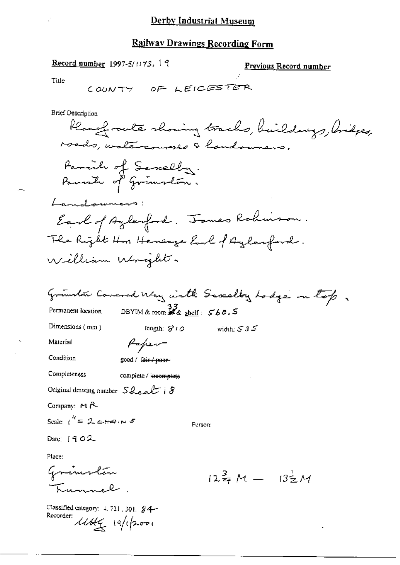Record number 1997-5/1173, 19

Previous Record number

Title

**Brief Description** 

Rangfrowte showing tracks, buildings, Arispes, roads, watercourses I handowners. Family of Sancelly. Parrick of Grimslan. Landonniers: Earl of Aylenford. James Robinson. The Right Hon Henesga End of Aylanford. William Wright. Groundon Concred Way with Saxalby Lodge on top DBYIM & room  $\mathbb{Z}_a$  shelf:  $\mathcal{S}_b$ 0.5 Permanent location Dimensions (mm) length:  $S10$ width: 535 Material Paper Condition good / fair / poor-

Completeness complete / incomplete

Original drawing number  $S_{\text{ReLU}}$  |  $8$ 

Company: MR

Scale:  $t'' = 2e+4u$ 

Date:  $(902$ 

Place:

Grimsten Tunnel

Classified category:  $\pm$ , 721, 301,  $\angle$ 4-Recorder: 14/1/2001

Person:

 $12\frac{3}{7}M - 13\frac{1}{2}M$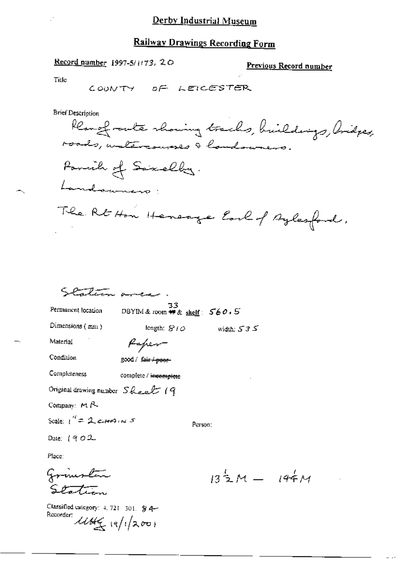#### **Railway Drawings Recording Form**

#### Record number 1997-5/1173, 20

Previous Record number

Title

**Brief Description** 

COUNTY OF LEICESTER

Kempfrants showing tracks, huildings, bridges, roads, watercourses I handowners. Parcile of Saxelly. Landouners: The Rt Hon Henerge Earl of Aylesford.

Station area

53<br>DBYIM & room ## & shelf:  $560.5$ 

length:  $S1Q$ 

Permanent location

Dimensions (mm)

width:  $535$ 

Person:

Paper

Condition

Material

good / fair / poor-

Completeness complete / incomplete

Original drawing number Sheet 19

Company: MR

Scale:  $1'' = 2$  crassing s

Date:  $(902$ 

Place:

Grimston Station

Classified category:  $4.721 - 301$ .  $94 -$ Recorder:  $4445 (8/1200)$ 

 $13\frac{1}{2}M - 194M$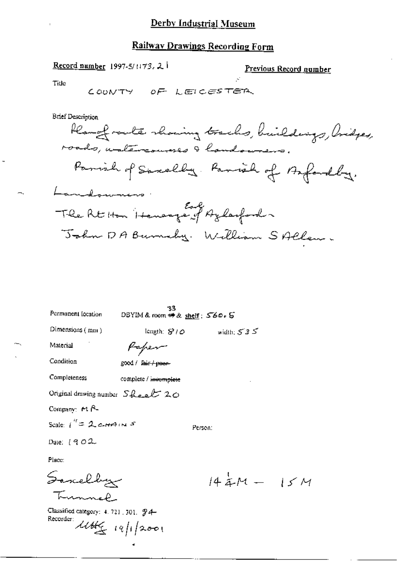# **Railway Drawings Recording Form**

ż

Record number 1997-5/1173, 2 |

Previous Record number

Title

 $\rightarrow$ 

**Brief Description** 

| Permanent fecation                                      | -33<br>DBYIM&room ##& <u>sheif</u> :560 + 5 |                              |
|---------------------------------------------------------|---------------------------------------------|------------------------------|
| Dimensions (mm)                                         | length: 810                                 | width: $535$                 |
| Material                                                | Kapen                                       |                              |
| Condition                                               | good / Fair / peer-                         |                              |
| Completeness                                            | complete / invomplete                       |                              |
| Original drawing number $S_{\text{break}}/Z_{\text{C}}$ |                                             |                              |
| Company: $H R$                                          |                                             |                              |
| Scale: $i'' = 2$ carried 5                              |                                             | Person:                      |
| Date: $[902]$                                           |                                             |                              |
| Place:                                                  |                                             |                              |
| Somelby                                                 |                                             | $14$ $\stackrel{1}{4}$ M $-$ |
|                                                         |                                             |                              |

 $14$  aM -  $15M$ 

Classified category: 4, 721, 301, 94-Recorder:  $11466 - 19/12001$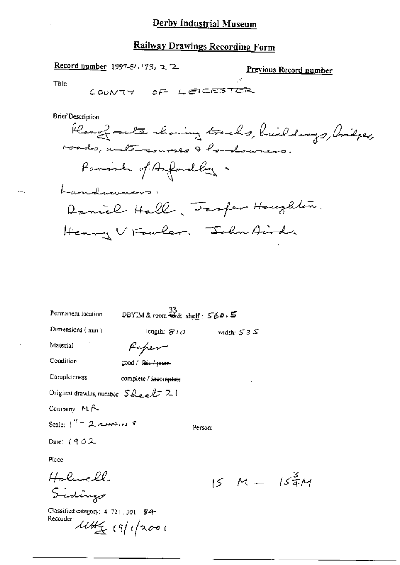Record number 1997-5/1173, 2, 2

Previous Record number

 $15\frac{3}{4}$ M

Title

**Brief Description** 

Rangfrants showing tracks, buildings, Aridges, roads, instereouses & landourers. Parish of Asfordly. Landwinners Daniel Hall, Insper Houghton. Henry V Fowlar. John Aird.

| Permanent location                              | $0$ BYIM & room # & shelf: $560.5$ |         |              |
|-------------------------------------------------|------------------------------------|---------|--------------|
| Dimensions $(mn)$                               | length: $S10$                      |         | width: $535$ |
| Material                                        | Kaper                              |         |              |
| Condition                                       | good / Fair + poer-                |         |              |
| Completeness                                    | complete / i <del>ncomplete</del>  |         |              |
| Original drawing number $S_{\text{Rec}}E \, 21$ |                                    |         |              |
| Company: $M \uparrow \sim$                      |                                    |         |              |
| Scale: $1'' = 2$ corrent $S$                    |                                    | Person: |              |
| Date: $1902$                                    |                                    |         |              |
| Place:                                          |                                    |         |              |
| Holwell                                         |                                    |         | 15 M —       |
| Sidings                                         |                                    |         |              |

Classified category: 4, 721, 301, \$4-

 $11446$   $(9/12001$ 

Recorder: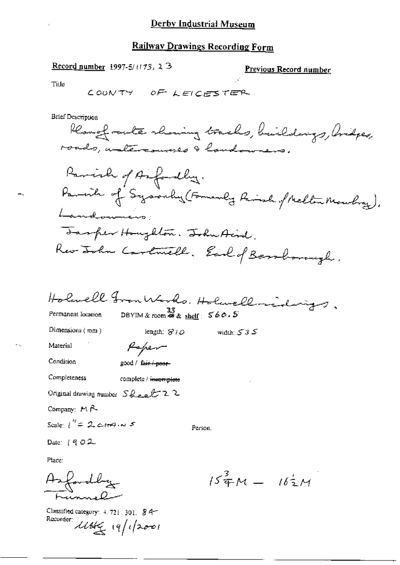Record number 1997-5/1173, 2 3

Previous Record number

Title

**Brief Description** 

Rearefrente showing tracks, buildings, bridges, roads, watercourses & handowners. Parish of Anfordly. Parish of Sysonly (Formerly Rinsh of Mellen Mouling). Landounces: Tasper Houghton. Ishuttind. Rev Lohn Cartwell, Earl of Bershorough.

Holanell FrontHoods. Holanell midnigs, DBYIM & room  $\frac{33}{48}$ & shelf:  $560.5$ Permanent location Dimensions (mm) length:  $810$ ک 3 S widde: ک **Material** Paper Condition good / fair i poor Completeness complete / incomplete Original drawing number  $S_{\text{break}} E$  22 Company:  $M \uparrow$ Scale  $1'' = 2$  correlations Person. Date:  $[902]$ 

Place:

Asfordby

Classified category: 4, 721, 301, 84-Recorder: 11th (9/1/2001

 $15^{\frac{3}{4}}M - 16^{\frac{1}{2}}M$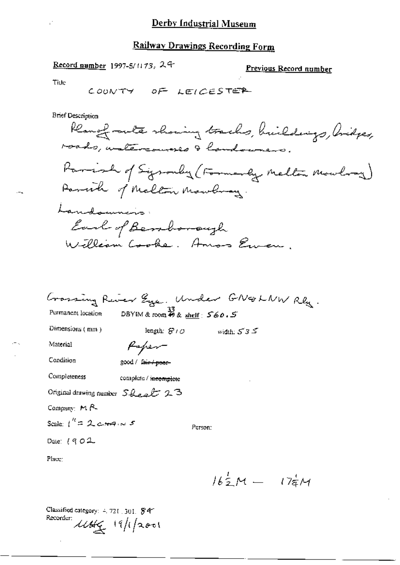## **Railway Drawings Recording Form**

### Record number 1997-5/1173, 24

#### Previous Record number

Title

**Brief Description** 

Rangfrants showing tracks, buildings, bidges, roads, untercourses & handowners. Parish of Sysonly (Formerly Melton Mowlong) Parcite of Melton Mawbray. Landonnins Earl of Bendonaugh William Cooke. Amos Euren.

|                                  |                                                         |         | Crossing River Eye. Under GN&LNW Rly. |  |
|----------------------------------|---------------------------------------------------------|---------|---------------------------------------|--|
| Permanent location               | DBYIM & room $\stackrel{33}{\bullet}$ & shelf : $560.5$ |         |                                       |  |
| Dimensions (mm)                  | length: $S^{\prime}$ / $O$                              |         | width: $535$                          |  |
| Material                         | Kapen-                                                  |         |                                       |  |
| Condition                        | good / fa <del>ir / poor-</del>                         |         |                                       |  |
| Completeness                     | compicte / <del>incomplete</del>                        |         |                                       |  |
| Original drawing number Sheet 23 |                                                         |         |                                       |  |
| Company: $M$ $R$                 |                                                         |         |                                       |  |
| Scale: $1'' = 2$ corrent $s$     |                                                         | Person: |                                       |  |
| Date: $(902$                     |                                                         |         |                                       |  |
| Place:                           |                                                         |         |                                       |  |

 $16\frac{1}{2}M = 17\frac{1}{4}M$ 

Classified category: 4, 721, 301, \$47 Recorder: 11/1/2001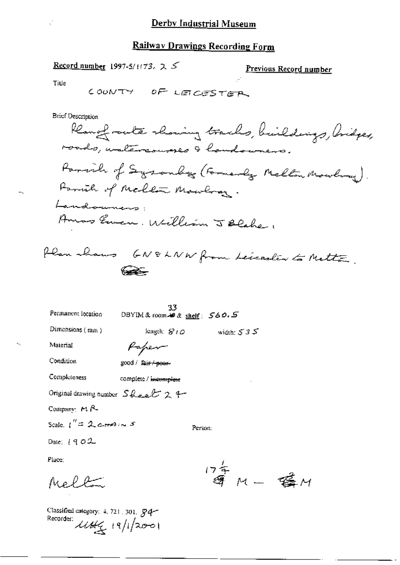$\mathbb{R}^2$ 

Record number 1997-5/1173, 2 5

Previous Record number

Title

l.

**Brief Description** 

| Permanent location      | 33<br>DBYIM& room # & shelf: 560.5        |              |  |
|-------------------------|-------------------------------------------|--------------|--|
| Dimensions $(mn)$       | length: $S$ ( $O$                         | width: $535$ |  |
| Material                | Kapen                                     |              |  |
| Condition               | good / Jai <del>r / poer-</del>           |              |  |
| Completeness            | complete / incomplete                     |              |  |
|                         | Original drawing number $S\⊂>ek$ $2$ $4-$ |              |  |
| Company: $M R$          |                                           |              |  |
| Scale, $1'' = 2$ crains |                                           | Person:      |  |
| Date: $1902$            |                                           |              |  |
| Place:                  |                                           |              |  |
|                         |                                           | $17 - 7$     |  |

等 M - 購 M

Classified category: 4.721.301.  $84$ <br>Recorder:  $\angle U4\frac{1}{3}$  19/1/2001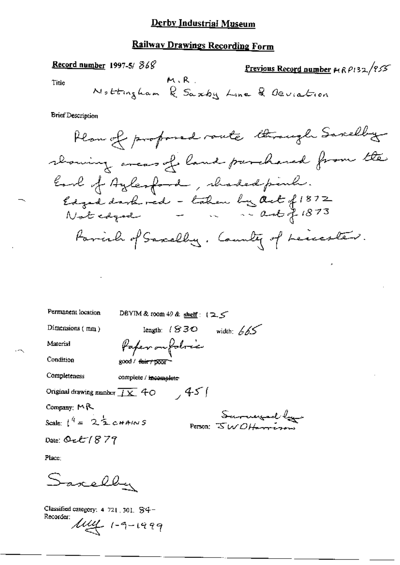## **Railway Drawings Recording Form**

 $\mathbf{A}$ 

 $\mathbf{a}$ 

Record number 1997-5/868

J

$$
Previous Record number  $\mu$   $\rho$   $\rho$   $\frac{32}{55}$
$$

Title

**Brief Description** 

Hom of produced route through Saxelling

\ndowing areas of land purchased from the

\nEnd of Aylerford, shaded pinh:

\nLoged dondrred - taken by act 
$$
f1872
$$

\nNot equal

\nForinh of Saxells, d and f. 1873

\nforinh of Saxells, d and f. 1873

Permanent location

DBYIM & toom 49 & shelf:  $(2.5$ 

Paper on folocie

length:  $(830 \text{ width: } 665)$ 

Dimensions (mm)

Material

Condition

good / fair / poor

Completeness complete / incomplete

Original drawing number  $\overline{I X}$  40  $\overline{45}$ 

Company: MR

Scale:  $1^{4}$  = 22 CHAINS

Sarayad by

Date: Oct  $1879$ 

Place:

arelley

Classified category: 4 721, 301, S4-Recorder:  $\mu$ uy 1-9-1999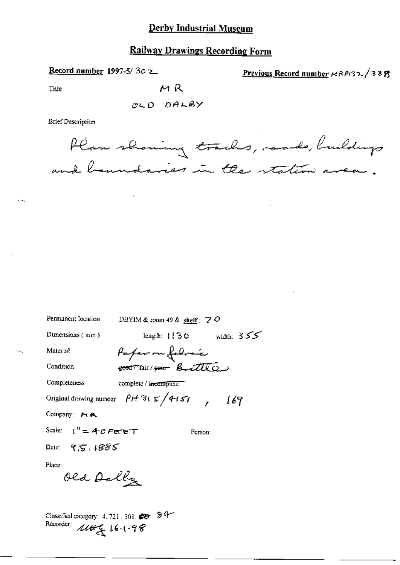Record number 1997-5/30 2

Previous Record number  $\mu$  RP132 / 33  $\eta$ 

Tiue

---

CLD DALBY

MR

**Brief Description** 



| Permanent Iocation                                                                                                                                                                                                 | DBYIM & room 49 & shelf $\cdot$ 7 $O$                               |  |
|--------------------------------------------------------------------------------------------------------------------------------------------------------------------------------------------------------------------|---------------------------------------------------------------------|--|
| Dimensions (mm)                                                                                                                                                                                                    | length: $113c$ width: $355$                                         |  |
| Material                                                                                                                                                                                                           | Paper on followic                                                   |  |
| Condition                                                                                                                                                                                                          | <b>good Thair / goor</b> Buittle                                    |  |
| Completeness                                                                                                                                                                                                       | complete / incomplete                                               |  |
|                                                                                                                                                                                                                    | Original drawing number $\beta$ if 3( $5/4$ i 51 $($ $/$ $/$ $/6$ ? |  |
| Company: $M \, R$                                                                                                                                                                                                  |                                                                     |  |
| Scale: $1^h = 4^p$ Fere T                                                                                                                                                                                          | Person:                                                             |  |
| Date: $95.1885$                                                                                                                                                                                                    |                                                                     |  |
| Place:<br>Old Dally                                                                                                                                                                                                |                                                                     |  |
| Classified category: $4.721 - 301$ $\blacktriangleright$ $\blacktriangleright$ $\blacktriangleright$ $\blacktriangleright$ $\blacktriangleright$ $\blacktriangleright$ $\blacktriangleright$ $\blacktriangleright$ |                                                                     |  |

Recorder: 1144 16.1.98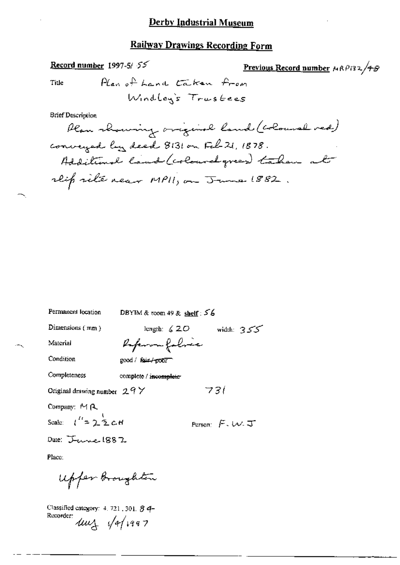## Record number 1997-5/55

Previous Record number  $MRPI32/48$ 

Title

**Brief Description** 

Permanent location DBYIM & room 49 & shelf :  $56$ Dimensions  $(mm)$ length:  $\zeta$  2.0 width: 355 Referan folice Material Condition good / fair/poor Completeness complete / incomplete- $73($ Original drawing number  $29Y$ Company: MA Scale:  $t^{\prime\prime} = 2.5 cH$ Person:  $F.W.\mathcal{F}$ Date: Janne 1887 Place:

Upper Broughton

Classified category: 4, 721, 301, 8 4-Recorder:  $4u_4$   $\sqrt{4}/1997$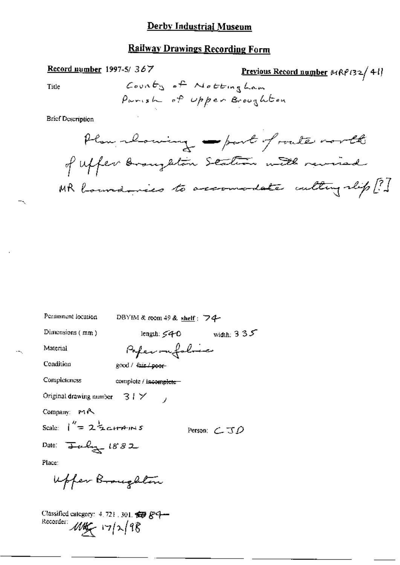## **Railway Drawings Recording Form**

#### Record number 1997-5/367

Previous Record number 
$$
MRP(32/41)
$$

Title

**Brief Description** 

Permanent location DBYIM & room 49 & shelf: 74-Dimensions (mm) length:  $540$  width:  $335$ Poper ou folose Material Condition good / fair / poor-Completeness complete / incomplete-Original drawing number  $31 \times$ Company: MA Scale:  $\int_{0}^{\pi} = 2\frac{1}{2}$ cHAINS Person:  $\subset$   $J\mathcal{D}$ Date:  $\frac{1}{2}$ alg  $1882$ Place: Upper Broughton Classified category: 4, 721, 301, 59 & Q-Recorder: May 17/2/98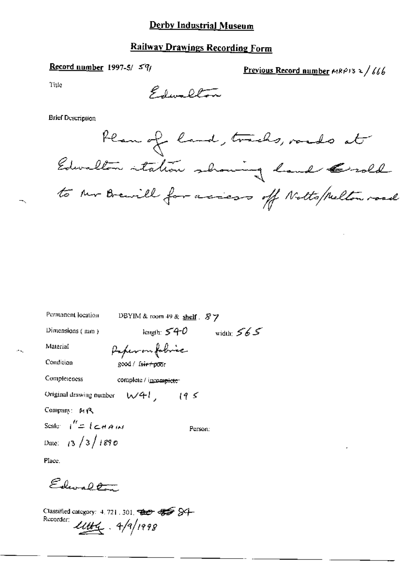## **Railway Drawings Recording Form**

### Record number 1997-5/ $5\%$

Previous Record number  $MRP13 \ge 1/666$ 

Title

Elevalton

**Brief Description** 

Plan of land, tracks, roads at Edwalten intalion showing hand Grald to the Brewill for aciess of Notts/Melton road

| Permanent location                 | DBYIM & room 49 & shelf . 87 |              |
|------------------------------------|------------------------------|--------------|
| Dimensions (mm)                    | length: $540$                | width: $565$ |
| Material                           | Paper on fobric              |              |
| Condition                          | good / fair+poor             |              |
| Completeness                       | complete / incomplete        |              |
| Original drawing number            | W41, 195                     |              |
| Company: MR                        |                              |              |
| Scale $1'' = 1 \in \mathbb{R}$ and | Person:                      |              |
| Date: $13/3/1890$                  |                              |              |
| <b>DI</b>                          |                              |              |

Place.

Edwall

Classified category: 4.721.301. 822 435 84 Recorder:  $1144 - 4/9/1999$